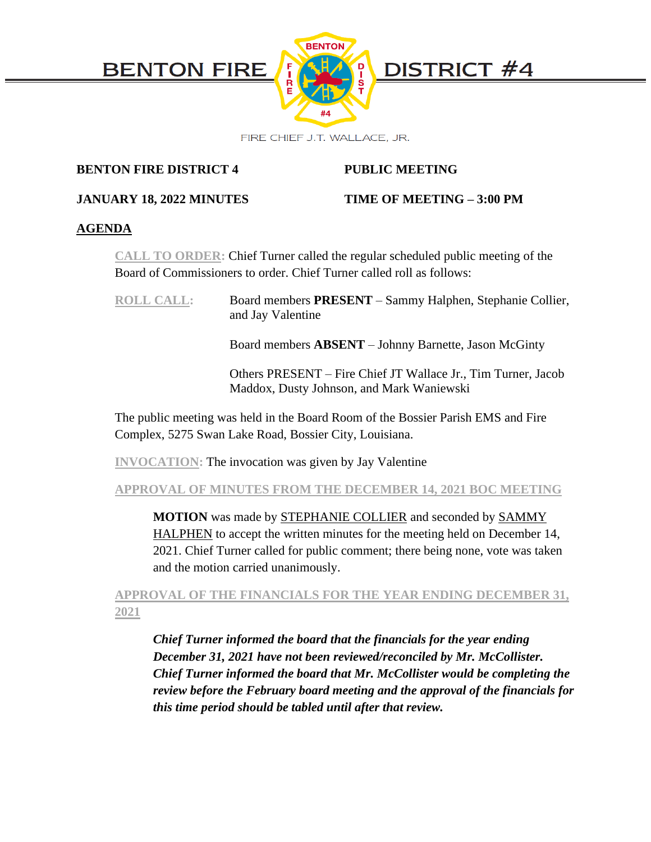

# **BENTON FIRE DISTRICT 4 PUBLIC MEETING**

# **JANUARY 18, 2022 MINUTES TIME OF MEETING – 3:00 PM**

# **AGENDA**

**CALL TO ORDER:** Chief Turner called the regular scheduled public meeting of the Board of Commissioners to order. Chief Turner called roll as follows:

| <b>ROLL CALL:</b> | Board members <b>PRESENT</b> – Sammy Halphen, Stephanie Collier,<br>and Jay Valentine |
|-------------------|---------------------------------------------------------------------------------------|
|                   |                                                                                       |

Board members **ABSENT** – Johnny Barnette, Jason McGinty

Others PRESENT – Fire Chief JT Wallace Jr., Tim Turner, Jacob Maddox, Dusty Johnson, and Mark Waniewski

The public meeting was held in the Board Room of the Bossier Parish EMS and Fire Complex, 5275 Swan Lake Road, Bossier City, Louisiana.

**INVOCATION:** The invocation was given by Jay Valentine

**APPROVAL OF MINUTES FROM THE DECEMBER 14, 2021 BOC MEETING**

**MOTION** was made by STEPHANIE COLLIER and seconded by SAMMY HALPHEN to accept the written minutes for the meeting held on December 14, 2021. Chief Turner called for public comment; there being none, vote was taken and the motion carried unanimously.

# **APPROVAL OF THE FINANCIALS FOR THE YEAR ENDING DECEMBER 31, 2021**

*Chief Turner informed the board that the financials for the year ending December 31, 2021 have not been reviewed/reconciled by Mr. McCollister. Chief Turner informed the board that Mr. McCollister would be completing the review before the February board meeting and the approval of the financials for this time period should be tabled until after that review.*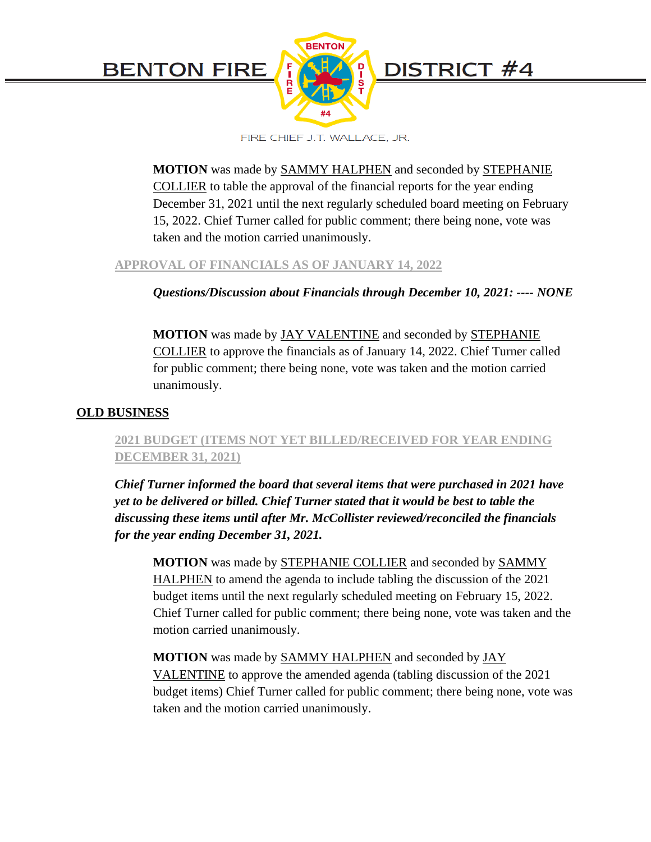

**MOTION** was made by SAMMY HALPHEN and seconded by STEPHANIE COLLIER to table the approval of the financial reports for the year ending December 31, 2021 until the next regularly scheduled board meeting on February 15, 2022. Chief Turner called for public comment; there being none, vote was taken and the motion carried unanimously.

### **APPROVAL OF FINANCIALS AS OF JANUARY 14, 2022**

# *Questions/Discussion about Financials through December 10, 2021: ---- NONE*

**MOTION** was made by JAY VALENTINE and seconded by STEPHANIE COLLIER to approve the financials as of January 14, 2022. Chief Turner called for public comment; there being none, vote was taken and the motion carried unanimously.

### **OLD BUSINESS**

# **2021 BUDGET (ITEMS NOT YET BILLED/RECEIVED FOR YEAR ENDING DECEMBER 31, 2021)**

*Chief Turner informed the board that several items that were purchased in 2021 have yet to be delivered or billed. Chief Turner stated that it would be best to table the discussing these items until after Mr. McCollister reviewed/reconciled the financials for the year ending December 31, 2021.*

**MOTION** was made by STEPHANIE COLLIER and seconded by SAMMY HALPHEN to amend the agenda to include tabling the discussion of the 2021 budget items until the next regularly scheduled meeting on February 15, 2022. Chief Turner called for public comment; there being none, vote was taken and the motion carried unanimously.

**MOTION** was made by SAMMY HALPHEN and seconded by JAY VALENTINE to approve the amended agenda (tabling discussion of the 2021 budget items) Chief Turner called for public comment; there being none, vote was taken and the motion carried unanimously.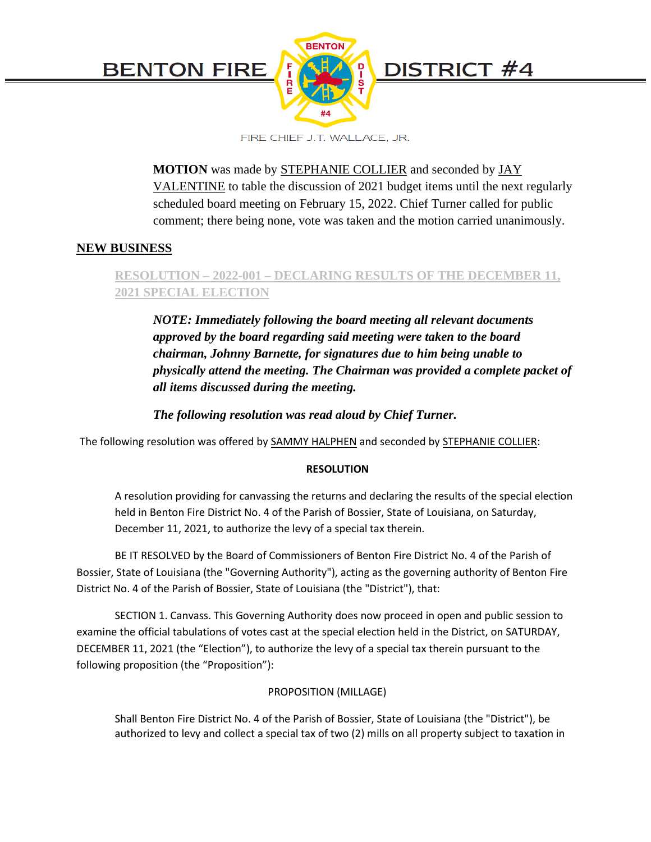

**MOTION** was made by STEPHANIE COLLIER and seconded by JAY VALENTINE to table the discussion of 2021 budget items until the next regularly scheduled board meeting on February 15, 2022. Chief Turner called for public comment; there being none, vote was taken and the motion carried unanimously.

# **NEW BUSINESS**

# **RESOLUTION – 2022-001 – DECLARING RESULTS OF THE DECEMBER 11, 2021 SPECIAL ELECTION**

*NOTE: Immediately following the board meeting all relevant documents approved by the board regarding said meeting were taken to the board chairman, Johnny Barnette, for signatures due to him being unable to physically attend the meeting. The Chairman was provided a complete packet of all items discussed during the meeting.*

*The following resolution was read aloud by Chief Turner.*

The following resolution was offered by SAMMY HALPHEN and seconded by STEPHANIE COLLIER:

# **RESOLUTION**

A resolution providing for canvassing the returns and declaring the results of the special election held in Benton Fire District No. 4 of the Parish of Bossier, State of Louisiana, on Saturday, December 11, 2021, to authorize the levy of a special tax therein.

BE IT RESOLVED by the Board of Commissioners of Benton Fire District No. 4 of the Parish of Bossier, State of Louisiana (the "Governing Authority"), acting as the governing authority of Benton Fire District No. 4 of the Parish of Bossier, State of Louisiana (the "District"), that:

SECTION 1. Canvass. This Governing Authority does now proceed in open and public session to examine the official tabulations of votes cast at the special election held in the District, on SATURDAY, DECEMBER 11, 2021 (the "Election"), to authorize the levy of a special tax therein pursuant to the following proposition (the "Proposition"):

### PROPOSITION (MILLAGE)

Shall Benton Fire District No. 4 of the Parish of Bossier, State of Louisiana (the "District"), be authorized to levy and collect a special tax of two (2) mills on all property subject to taxation in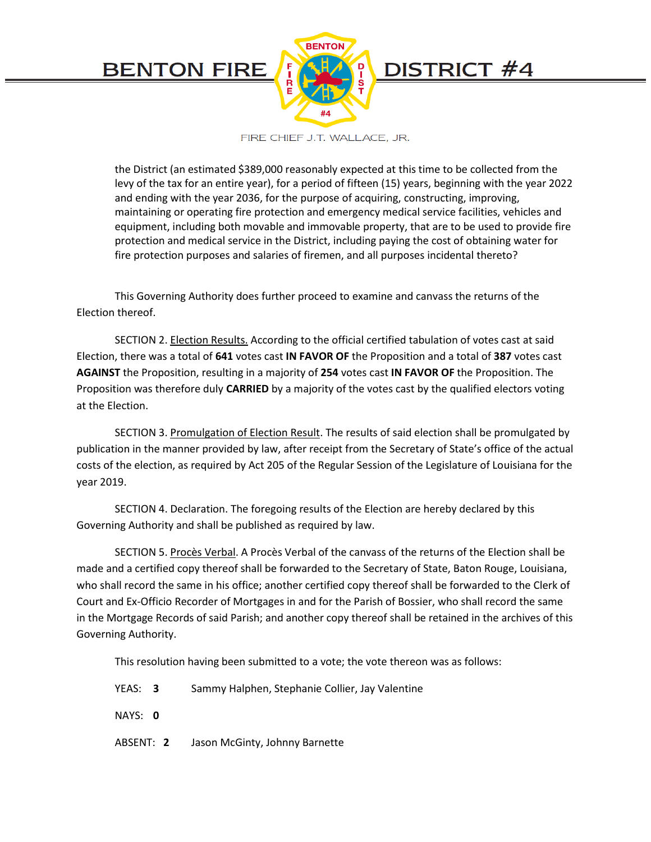

the District (an estimated \$389,000 reasonably expected at this time to be collected from the levy of the tax for an entire year), for a period of fifteen (15) years, beginning with the year 2022 and ending with the year 2036, for the purpose of acquiring, constructing, improving, maintaining or operating fire protection and emergency medical service facilities, vehicles and equipment, including both movable and immovable property, that are to be used to provide fire protection and medical service in the District, including paying the cost of obtaining water for fire protection purposes and salaries of firemen, and all purposes incidental thereto?

This Governing Authority does further proceed to examine and canvass the returns of the Election thereof.

SECTION 2. Election Results. According to the official certified tabulation of votes cast at said Election, there was a total of **641** votes cast **IN FAVOR OF** the Proposition and a total of **387** votes cast **AGAINST** the Proposition, resulting in a majority of **254** votes cast **IN FAVOR OF** the Proposition. The Proposition was therefore duly **CARRIED** by a majority of the votes cast by the qualified electors voting at the Election.

SECTION 3. Promulgation of Election Result. The results of said election shall be promulgated by publication in the manner provided by law, after receipt from the Secretary of State's office of the actual costs of the election, as required by Act 205 of the Regular Session of the Legislature of Louisiana for the year 2019.

SECTION 4. Declaration. The foregoing results of the Election are hereby declared by this Governing Authority and shall be published as required by law.

SECTION 5. Procès Verbal. A Procès Verbal of the canvass of the returns of the Election shall be made and a certified copy thereof shall be forwarded to the Secretary of State, Baton Rouge, Louisiana, who shall record the same in his office; another certified copy thereof shall be forwarded to the Clerk of Court and Ex-Officio Recorder of Mortgages in and for the Parish of Bossier, who shall record the same in the Mortgage Records of said Parish; and another copy thereof shall be retained in the archives of this Governing Authority.

This resolution having been submitted to a vote; the vote thereon was as follows:

YEAS: **3** Sammy Halphen, Stephanie Collier, Jay Valentine

NAYS: **0**

ABSENT: **2** Jason McGinty, Johnny Barnette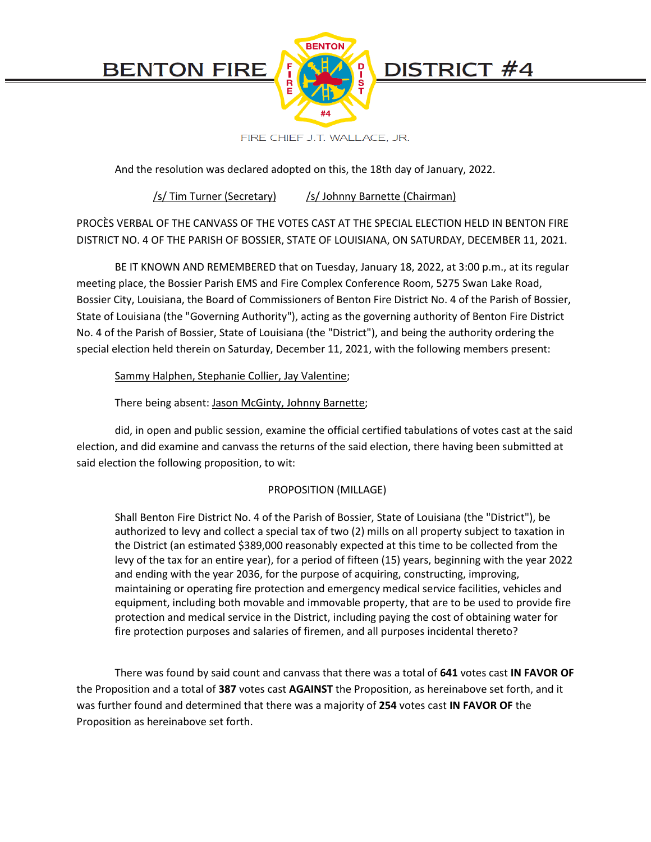**BENTON FIRE** 



FIRE CHIEF J.T. WALLACE, JR.

And the resolution was declared adopted on this, the 18th day of January, 2022.

/s/ Tim Turner (Secretary) /s/ Johnny Barnette (Chairman)

PROCÈS VERBAL OF THE CANVASS OF THE VOTES CAST AT THE SPECIAL ELECTION HELD IN BENTON FIRE DISTRICT NO. 4 OF THE PARISH OF BOSSIER, STATE OF LOUISIANA, ON SATURDAY, DECEMBER 11, 2021.

BE IT KNOWN AND REMEMBERED that on Tuesday, January 18, 2022, at 3:00 p.m., at its regular meeting place, the Bossier Parish EMS and Fire Complex Conference Room, 5275 Swan Lake Road, Bossier City, Louisiana, the Board of Commissioners of Benton Fire District No. 4 of the Parish of Bossier, State of Louisiana (the "Governing Authority"), acting as the governing authority of Benton Fire District No. 4 of the Parish of Bossier, State of Louisiana (the "District"), and being the authority ordering the special election held therein on Saturday, December 11, 2021, with the following members present:

#### Sammy Halphen, Stephanie Collier, Jay Valentine;

### There being absent: Jason McGinty, Johnny Barnette;

did, in open and public session, examine the official certified tabulations of votes cast at the said election, and did examine and canvass the returns of the said election, there having been submitted at said election the following proposition, to wit:

### PROPOSITION (MILLAGE)

Shall Benton Fire District No. 4 of the Parish of Bossier, State of Louisiana (the "District"), be authorized to levy and collect a special tax of two (2) mills on all property subject to taxation in the District (an estimated \$389,000 reasonably expected at this time to be collected from the levy of the tax for an entire year), for a period of fifteen (15) years, beginning with the year 2022 and ending with the year 2036, for the purpose of acquiring, constructing, improving, maintaining or operating fire protection and emergency medical service facilities, vehicles and equipment, including both movable and immovable property, that are to be used to provide fire protection and medical service in the District, including paying the cost of obtaining water for fire protection purposes and salaries of firemen, and all purposes incidental thereto?

There was found by said count and canvass that there was a total of **641** votes cast **IN FAVOR OF** the Proposition and a total of **387** votes cast **AGAINST** the Proposition, as hereinabove set forth, and it was further found and determined that there was a majority of **254** votes cast **IN FAVOR OF** the Proposition as hereinabove set forth.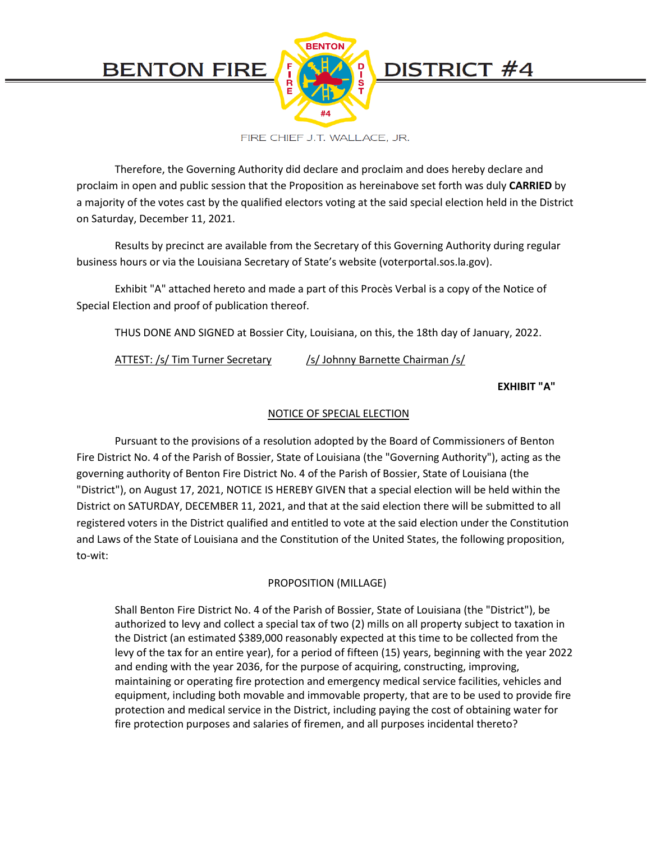

Therefore, the Governing Authority did declare and proclaim and does hereby declare and proclaim in open and public session that the Proposition as hereinabove set forth was duly **CARRIED** by a majority of the votes cast by the qualified electors voting at the said special election held in the District on Saturday, December 11, 2021.

Results by precinct are available from the Secretary of this Governing Authority during regular business hours or via the Louisiana Secretary of State's website (voterportal.sos.la.gov).

Exhibit "A" attached hereto and made a part of this Procès Verbal is a copy of the Notice of Special Election and proof of publication thereof.

THUS DONE AND SIGNED at Bossier City, Louisiana, on this, the 18th day of January, 2022.

ATTEST: /s/ Tim Turner Secretary /s/ Johnny Barnette Chairman /s/

#### **EXHIBIT "A"**

#### NOTICE OF SPECIAL ELECTION

Pursuant to the provisions of a resolution adopted by the Board of Commissioners of Benton Fire District No. 4 of the Parish of Bossier, State of Louisiana (the "Governing Authority"), acting as the governing authority of Benton Fire District No. 4 of the Parish of Bossier, State of Louisiana (the "District"), on August 17, 2021, NOTICE IS HEREBY GIVEN that a special election will be held within the District on SATURDAY, DECEMBER 11, 2021, and that at the said election there will be submitted to all registered voters in the District qualified and entitled to vote at the said election under the Constitution and Laws of the State of Louisiana and the Constitution of the United States, the following proposition, to-wit:

### PROPOSITION (MILLAGE)

Shall Benton Fire District No. 4 of the Parish of Bossier, State of Louisiana (the "District"), be authorized to levy and collect a special tax of two (2) mills on all property subject to taxation in the District (an estimated \$389,000 reasonably expected at this time to be collected from the levy of the tax for an entire year), for a period of fifteen (15) years, beginning with the year 2022 and ending with the year 2036, for the purpose of acquiring, constructing, improving, maintaining or operating fire protection and emergency medical service facilities, vehicles and equipment, including both movable and immovable property, that are to be used to provide fire protection and medical service in the District, including paying the cost of obtaining water for fire protection purposes and salaries of firemen, and all purposes incidental thereto?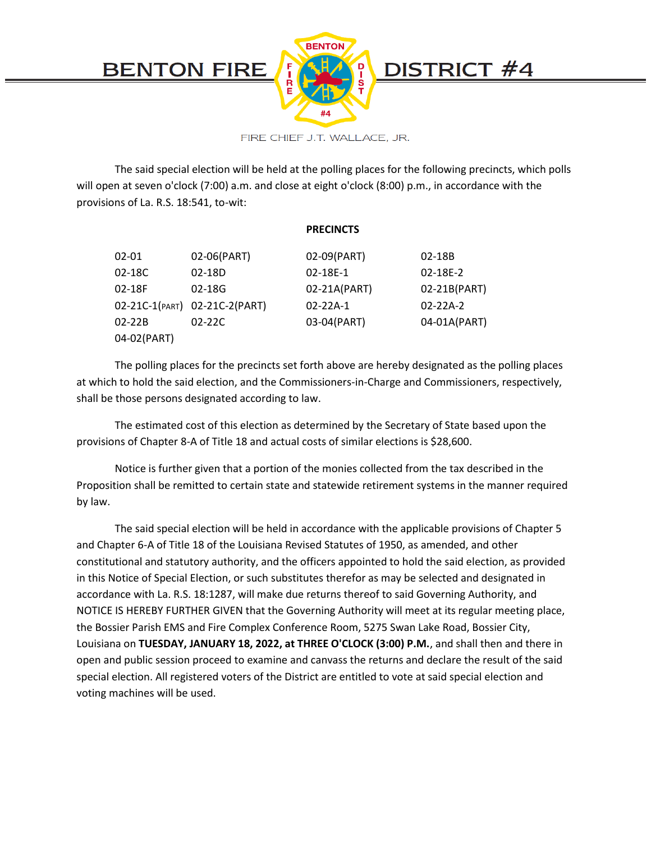

The said special election will be held at the polling places for the following precincts, which polls will open at seven o'clock (7:00) a.m. and close at eight o'clock (8:00) p.m., in accordance with the provisions of La. R.S. 18:541, to-wit:

#### **PRECINCTS**

| 02-01       | 02-06(PART)                   | 02-09(PART)    | 02-18B         |
|-------------|-------------------------------|----------------|----------------|
| 02-18C      | 02-18D                        | 02-18E-1       | 02-18E-2       |
| 02-18F      | $02 - 18G$                    | 02-21A(PART)   | 02-21B(PART)   |
|             | 02-21C-1(PART) 02-21C-2(PART) | $02 - 22A - 1$ | $02 - 22A - 2$ |
| $02 - 22B$  | $02 - 22C$                    | 03-04(PART)    | 04-01A(PART)   |
| 04-02(PART) |                               |                |                |

The polling places for the precincts set forth above are hereby designated as the polling places at which to hold the said election, and the Commissioners-in-Charge and Commissioners, respectively, shall be those persons designated according to law.

The estimated cost of this election as determined by the Secretary of State based upon the provisions of Chapter 8-A of Title 18 and actual costs of similar elections is \$28,600.

Notice is further given that a portion of the monies collected from the tax described in the Proposition shall be remitted to certain state and statewide retirement systems in the manner required by law.

The said special election will be held in accordance with the applicable provisions of Chapter 5 and Chapter 6-A of Title 18 of the Louisiana Revised Statutes of 1950, as amended, and other constitutional and statutory authority, and the officers appointed to hold the said election, as provided in this Notice of Special Election, or such substitutes therefor as may be selected and designated in accordance with La. R.S. 18:1287, will make due returns thereof to said Governing Authority, and NOTICE IS HEREBY FURTHER GIVEN that the Governing Authority will meet at its regular meeting place, the Bossier Parish EMS and Fire Complex Conference Room, 5275 Swan Lake Road, Bossier City, Louisiana on **TUESDAY, JANUARY 18, 2022, at THREE O'CLOCK (3:00) P.M.**, and shall then and there in open and public session proceed to examine and canvass the returns and declare the result of the said special election. All registered voters of the District are entitled to vote at said special election and voting machines will be used.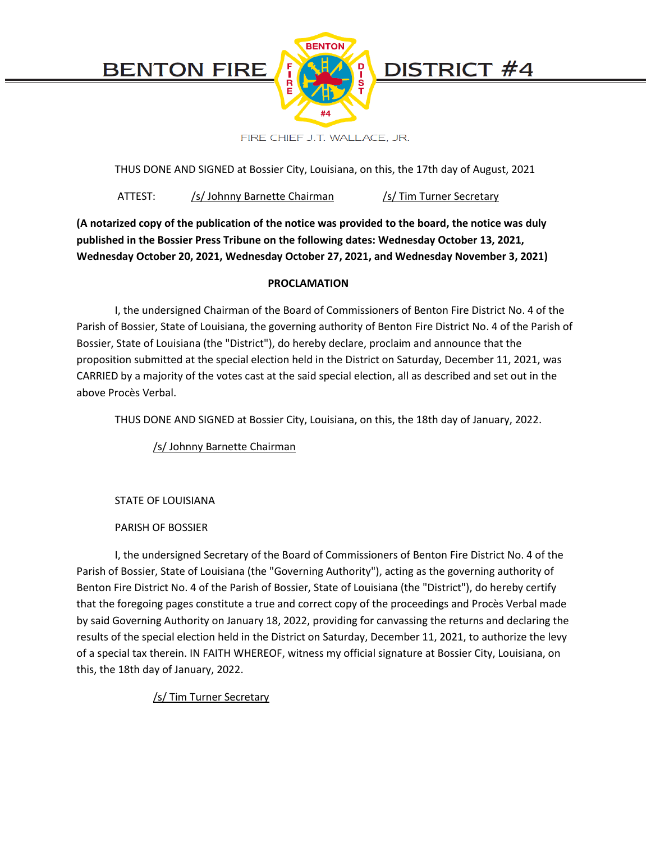

THUS DONE AND SIGNED at Bossier City, Louisiana, on this, the 17th day of August, 2021

ATTEST: /s/ Johnny Barnette Chairman /s/ Tim Turner Secretary

**(A notarized copy of the publication of the notice was provided to the board, the notice was duly published in the Bossier Press Tribune on the following dates: Wednesday October 13, 2021, Wednesday October 20, 2021, Wednesday October 27, 2021, and Wednesday November 3, 2021)**

#### **PROCLAMATION**

I, the undersigned Chairman of the Board of Commissioners of Benton Fire District No. 4 of the Parish of Bossier, State of Louisiana, the governing authority of Benton Fire District No. 4 of the Parish of Bossier, State of Louisiana (the "District"), do hereby declare, proclaim and announce that the proposition submitted at the special election held in the District on Saturday, December 11, 2021, was CARRIED by a majority of the votes cast at the said special election, all as described and set out in the above Procès Verbal.

THUS DONE AND SIGNED at Bossier City, Louisiana, on this, the 18th day of January, 2022.

/s/ Johnny Barnette Chairman

STATE OF LOUISIANA

PARISH OF BOSSIER

I, the undersigned Secretary of the Board of Commissioners of Benton Fire District No. 4 of the Parish of Bossier, State of Louisiana (the "Governing Authority"), acting as the governing authority of Benton Fire District No. 4 of the Parish of Bossier, State of Louisiana (the "District"), do hereby certify that the foregoing pages constitute a true and correct copy of the proceedings and Procès Verbal made by said Governing Authority on January 18, 2022, providing for canvassing the returns and declaring the results of the special election held in the District on Saturday, December 11, 2021, to authorize the levy of a special tax therein. IN FAITH WHEREOF, witness my official signature at Bossier City, Louisiana, on this, the 18th day of January, 2022.

/s/ Tim Turner Secretary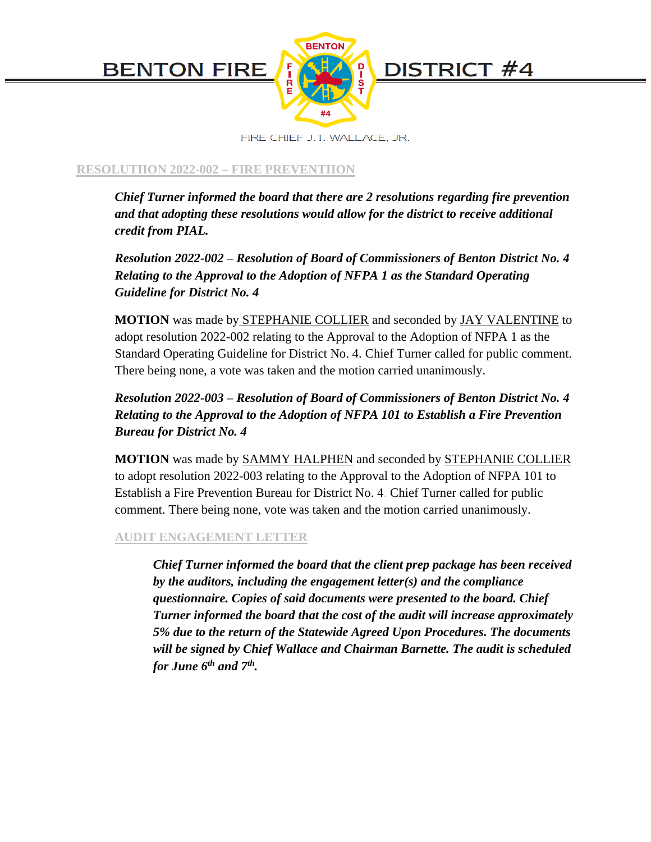

# **RESOLUTIION 2022-002 – FIRE PREVENTIION**

*Chief Turner informed the board that there are 2 resolutions regarding fire prevention and that adopting these resolutions would allow for the district to receive additional credit from PIAL.*

*Resolution 2022-002 – Resolution of Board of Commissioners of Benton District No. 4 Relating to the Approval to the Adoption of NFPA 1 as the Standard Operating Guideline for District No. 4*

**MOTION** was made by STEPHANIE COLLIER and seconded by JAY VALENTINE to adopt resolution 2022-002 relating to the Approval to the Adoption of NFPA 1 as the Standard Operating Guideline for District No. 4. Chief Turner called for public comment. There being none, a vote was taken and the motion carried unanimously.

*Resolution 2022-003 – Resolution of Board of Commissioners of Benton District No. 4 Relating to the Approval to the Adoption of NFPA 101 to Establish a Fire Prevention Bureau for District No. 4*

**MOTION** was made by SAMMY HALPHEN and seconded by STEPHANIE COLLIER to adopt resolution 2022-003 relating to the Approval to the Adoption of NFPA 101 to Establish a Fire Prevention Bureau for District No. 4. Chief Turner called for public comment. There being none, vote was taken and the motion carried unanimously.

# **AUDIT ENGAGEMENT LETTER**

*Chief Turner informed the board that the client prep package has been received by the auditors, including the engagement letter(s) and the compliance questionnaire. Copies of said documents were presented to the board. Chief Turner informed the board that the cost of the audit will increase approximately 5% due to the return of the Statewide Agreed Upon Procedures. The documents will be signed by Chief Wallace and Chairman Barnette. The audit is scheduled for June 6th and 7th .*